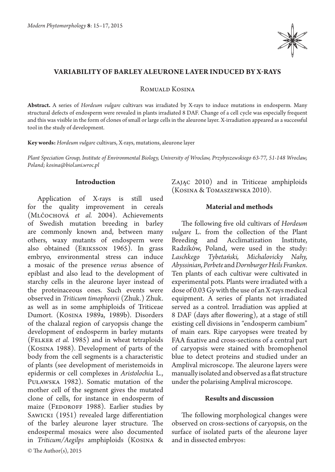

## **Variability of barley aleurone layer induced by X-rays**

Romuald Kosina

**Abstract.** A series of *Hordeum vulgare* cultivars was irradiated by X-rays to induce mutations in endosperm. Many structural defects of endosperm were revealed in plants irradiated 8 DAF. Change of a cell cycle was especially frequent and this was visible in the form of clones of small or large cells in the aleurone layer. X-irradiation appeared as a successful tool in the study of development.

**Key words:** *Hordeum vulgare* cultivars, X-rays, mutations, aleurone layer

*Plant Speciation Group, Institute of Environmental Biology, University of Wroclaw, Przybyszewskiego 63-77, 51-148 Wroclaw, Poland; kosina@biol.uni.wroc.pl*

#### **Introduction**

Application of X-rays is still used for the quality improvement in cereals (Mlčochová *et al.* 2004). Achievements of Swedish mutation breeding in barley are commonly known and, between many others, waxy mutants of endosperm were also obtained (Eriksson 1965). In grass embryo, environmental stress can induce a mosaic of the presence *versus* absence of epiblast and also lead to the development of starchy cells in the aleurone layer instead of the proteinaceous ones. Such events were observed in *Triticum timopheevii* (Zhuk.) Zhuk. as well as in some amphiploids of Triticeae Dumort. (Kosina 1989a, 1989b). Disorders of the chalazal region of caryopsis change the development of endosperm in barley mutants (Felker *et al.*  1985) and in wheat tetraploids (Kosina 1988). Development of parts of the body from the cell segments is a characteristic of plants (see development of meristemoids in epidermis or cell complexes in *Aristolochia* L., Puławska 1982). Somatic mutation of the mother cell of the segment gives the mutated clone of cells, for instance in endosperm of maize (FEDOROFF 1988). Earlier studies by SAWICKI (1951) revealed large differentiation of the barley aleurone layer structure. The endospermal mosaics were also documented in *Triticum/Aegilps* amphiploids (Kosina &

Zając 2010) and in Triticeae amphiploids (Kosina & Tomaszewska 2010).

# **Material and methods**

The following five old cultivars of *Hordeum vulgare* L. from the collection of the Plant Breeding and Acclimatization Institute, Radzików, Poland, were used in the study: *Laschkego Tybetański, Michalovicky Nahy, Abyssinian, Perbete* and *DornburgerHeils Franken*. Ten plants of each cultivar were cultivated in experimental pots. Plants were irradiated with a dose of 0.03 Gy with the use of an X-rays medical equipment. A series of plants not irradiated served as a control. Irradiation was applied at 8 DAF (days after flowering), at a stage of still existing cell divisions in "endosperm cambium" of main ears. Ripe caryopses were treated by FAA fixative and cross-sections of a central part of caryopsis were stained with bromophenol blue to detect proteins and studied under an Amplival microscope. The aleurone layers were manually isolated and observed as a flat structure under the polarising Amplival microscope.

### **Results and discussion**

The following morphological changes were observed on cross-sections of caryopsis, on the surface of isolated parts of the aleurone layer and in dissected embryos: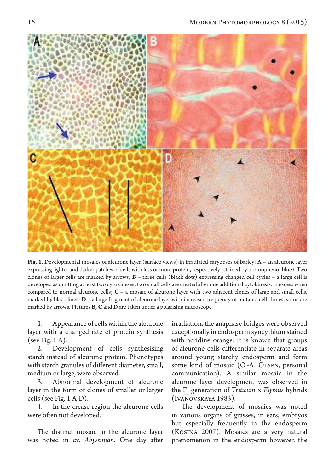

**Fig. 1.** Developmental mosaics of aleurone layer (surface views) in irradiated caryopses of barley: **A** – an aleurone layer expressing lighter and darker patches of cells with less or more protein, respectively (stained by bromophenol blue). Two clones of larger cells are marked by arrows; **B** – three cells (black dots) expressing changed cell cycles – a large cell is developed as omitting at least two cytokineses; two small cells are created after one additional cytokinesis, in excess when compared to normal aleurone cells; **C** – a mosaic of aleurone layer with two adjacent clones of large and small cells, marked by black lines; **D** – a large fragment of aleurone layer with increased frequency of mutated cell clones, some are marked by arrows. Pictures **B, C** and **D** are taken under a polarising microscope.

Appearance of cells within the aleurone layer with a changed rate of protein synthesis (see Fig. 1 A).

2. Development of cells synthesising starch instead of aleurone protein. Phenotypes with starch granules of different diameter, small, medium or large, were observed.

3. Abnormal development of aleurone layer in the form of clones of smaller or larger cells (see Fig. 1 A-D).

4. In the crease region the aleurone cells were often not developed.

The distinct mosaic in the aleurone layer was noted in cv. *Abyssinian*. One day after

irradiation, the anaphase bridges were observed exceptionally in endosperm syncythium stained with acridine orange. It is known that groups of aleurone cells differentiate in separate areas around young starchy endosperm and form some kind of mosaic (O.-A. Olsen, personal communication). A similar mosaic in the aleurone layer development was observed in the  $F_1$  generation of *Triticum*  $\times$  *Elymus* hybrids (Ivanovskaya 1983).

The development of mosaics was noted in various organs of grasses, in ears, embryos but especially frequently in the endosperm (Kosina 2007). Mosaics are a very natural phenomenon in the endosperm however, the